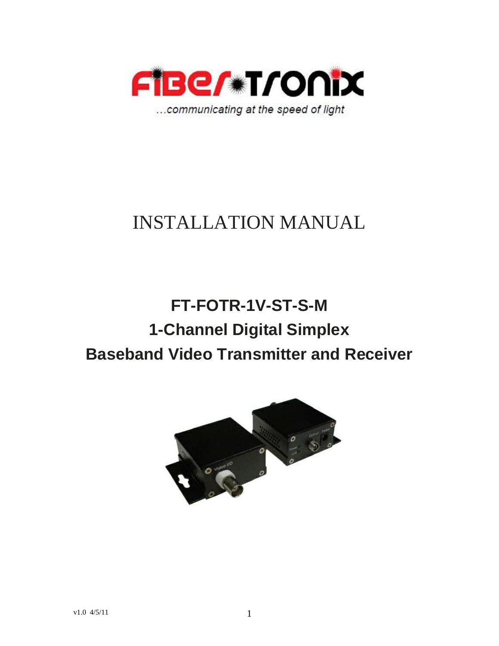

# INSTALLATION MANUAL

# **FT-FOTR-1V-ST-S-M 1-Channel Digital Simplex Baseband Video Transmitter and Receiver**

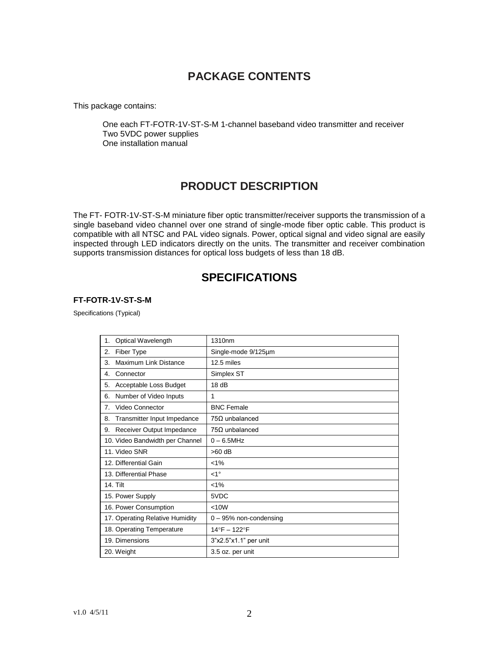## **PACKAGE CONTENTS**

This package contains:

One each FT-FOTR-1V-ST-S-M 1-channel baseband video transmitter and receiver Two 5VDC power supplies One installation manual

## **PRODUCT DESCRIPTION**

The FT- FOTR-1V-ST-S-M miniature fiber optic transmitter/receiver supports the transmission of a single baseband video channel over one strand of single-mode fiber optic cable. This product is compatible with all NTSC and PAL video signals. Power, optical signal and video signal are easily inspected through LED indicators directly on the units. The transmitter and receiver combination supports transmission distances for optical loss budgets of less than 18 dB.

### **SPECIFICATIONS**

#### **FT-FOTR-1V-ST-S-M**

Specifications (Typical)

| Optical Wavelength<br>1.          | 1310 <sub>nm</sub>       |
|-----------------------------------|--------------------------|
| Fiber Type<br>2.                  | Single-mode 9/125um      |
| Maximum Link Distance<br>3.       | 12.5 miles               |
| Connector<br>4.                   | Simplex ST               |
| Acceptable Loss Budget<br>5.      | 18dB                     |
| Number of Video Inputs<br>6.      | 1                        |
| Video Connector<br>7.             | <b>BNC Female</b>        |
| Transmitter Input Impedance<br>8. | $75\Omega$ unbalanced    |
| Receiver Output Impedance<br>9.   | $75\Omega$ unbalanced    |
| 10. Video Bandwidth per Channel   | $0 - 6.5$ MHz            |
| 11. Video SNR                     | $>60$ dB                 |
| 12. Differential Gain             | $< 1\%$                  |
| 13. Differential Phase            | $<1^{\circ}$             |
| <b>14. Tilt</b>                   | $< 1\%$                  |
| 15. Power Supply                  | 5VDC                     |
| 16. Power Consumption             | < 10W                    |
| 17. Operating Relative Humidity   | $0 - 95%$ non-condensing |
| 18. Operating Temperature         | 14°F - 122°F             |
| 19. Dimensions                    | 3"x2.5"x1.1" per unit    |
| 20. Weight                        | 3.5 oz. per unit         |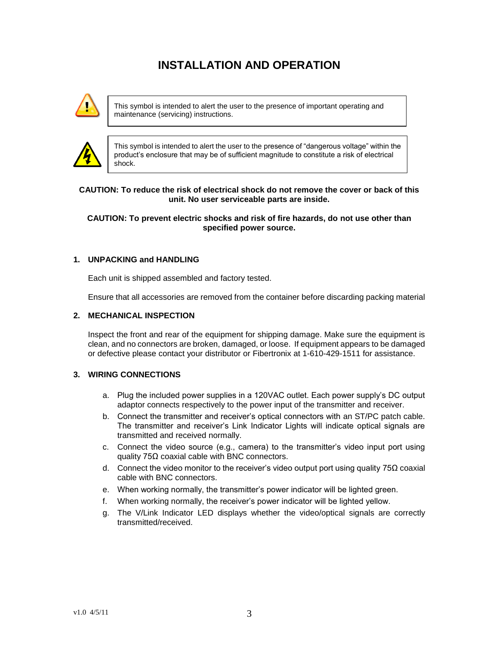## **INSTALLATION AND OPERATION**



This symbol is intended to alert the user to the presence of important operating and maintenance (servicing) instructions.



This symbol is intended to alert the user to the presence of "dangerous voltage" within the product's enclosure that may be of sufficient magnitude to constitute a risk of electrical shock.

#### **CAUTION: To reduce the risk of electrical shock do not remove the cover or back of this unit. No user serviceable parts are inside.**

#### **CAUTION: To prevent electric shocks and risk of fire hazards, do not use other than specified power source.**

#### **1. UNPACKING and HANDLING**

Each unit is shipped assembled and factory tested.

Ensure that all accessories are removed from the container before discarding packing material

#### **2. MECHANICAL INSPECTION**

Inspect the front and rear of the equipment for shipping damage. Make sure the equipment is clean, and no connectors are broken, damaged, or loose. If equipment appears to be damaged or defective please contact your distributor or Fibertronix at 1-610-429-1511 for assistance.

#### **3. WIRING CONNECTIONS**

- a. Plug the included power supplies in a 120VAC outlet. Each power supply's DC output adaptor connects respectively to the power input of the transmitter and receiver.
- b. Connect the transmitter and receiver's optical connectors with an ST/PC patch cable. The transmitter and receiver's Link Indicator Lights will indicate optical signals are transmitted and received normally.
- c. Connect the video source (e.g., camera) to the transmitter's video input port using quality 75Ω coaxial cable with BNC connectors.
- d. Connect the video monitor to the receiver's video output port using quality 75 $\Omega$  coaxial cable with BNC connectors.
- e. When working normally, the transmitter's power indicator will be lighted green.
- f. When working normally, the receiver's power indicator will be lighted yellow.
- g. The V/Link Indicator LED displays whether the video/optical signals are correctly transmitted/received.